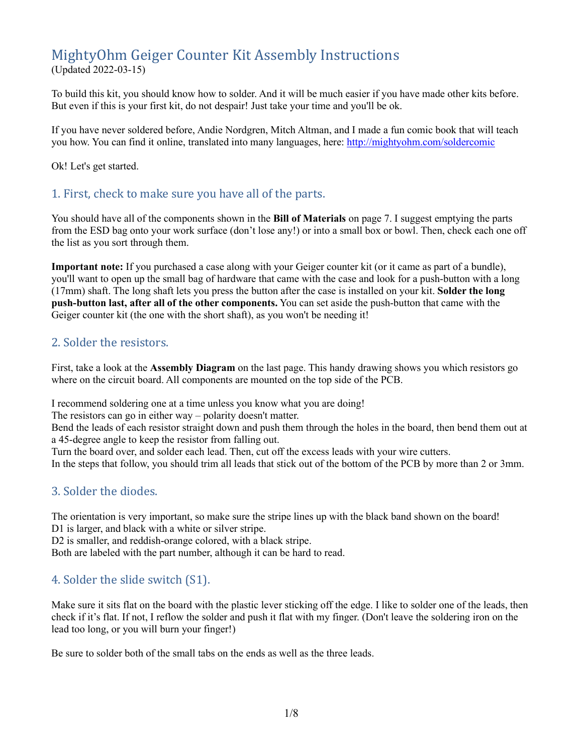# MightyOhm Geiger Counter Kit Assembly Instructions

(Updated 2022-03-15)

To build this kit, you should know how to solder. And it will be much easier if you have made other kits before. But even if this is your first kit, do not despair! Just take your time and you'll be ok.

If you have never soldered before, Andie Nordgren, Mitch Altman, and I made a fun comic book that will teach you how. You can find it online, translated into many languages, here: <http://mightyohm.com/soldercomic>

Ok! Let's get started.

## 1. First, check to make sure you have all of the parts.

You should have all of the components shown in the **Bill of Materials** on page 7. I suggest emptying the parts from the ESD bag onto your work surface (don't lose any!) or into a small box or bowl. Then, check each one off the list as you sort through them.

**Important note:** If you purchased a case along with your Geiger counter kit (or it came as part of a bundle), you'll want to open up the small bag of hardware that came with the case and look for a push-button with a long (17mm) shaft. The long shaft lets you press the button after the case is installed on your kit. **Solder the long push-button last, after all of the other components.** You can set aside the push-button that came with the Geiger counter kit (the one with the short shaft), as you won't be needing it!

## 2. Solder the resistors.

First, take a look at the **Assembly Diagram** on the last page. This handy drawing shows you which resistors go where on the circuit board. All components are mounted on the top side of the PCB.

I recommend soldering one at a time unless you know what you are doing!

The resistors can go in either way – polarity doesn't matter.

Bend the leads of each resistor straight down and push them through the holes in the board, then bend them out at a 45-degree angle to keep the resistor from falling out.

Turn the board over, and solder each lead. Then, cut off the excess leads with your wire cutters.

In the steps that follow, you should trim all leads that stick out of the bottom of the PCB by more than 2 or 3mm.

## 3. Solder the diodes.

The orientation is very important, so make sure the stripe lines up with the black band shown on the board! D1 is larger, and black with a white or silver stripe.

D2 is smaller, and reddish-orange colored, with a black stripe.

Both are labeled with the part number, although it can be hard to read.

## 4. Solder the slide switch (S1).

Make sure it sits flat on the board with the plastic lever sticking off the edge. I like to solder one of the leads, then check if it's flat. If not, I reflow the solder and push it flat with my finger. (Don't leave the soldering iron on the lead too long, or you will burn your finger!)

Be sure to solder both of the small tabs on the ends as well as the three leads.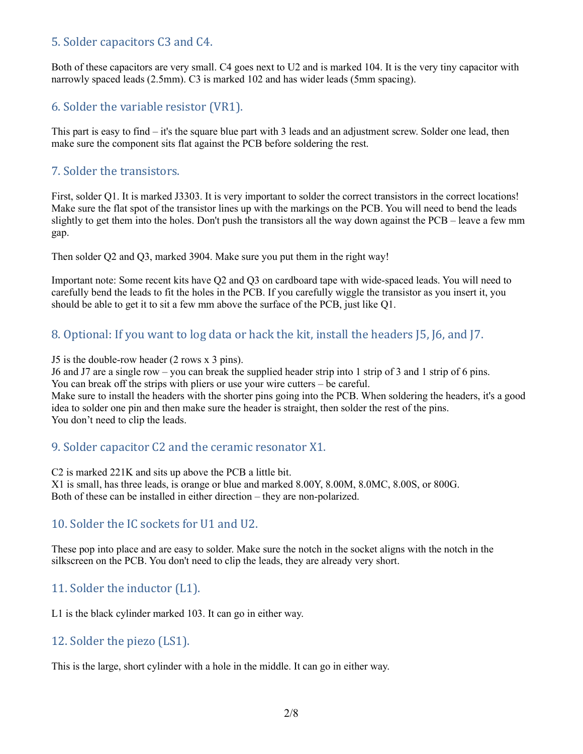## 5. Solder capacitors C3 and C4.

Both of these capacitors are very small. C4 goes next to U2 and is marked 104. It is the very tiny capacitor with narrowly spaced leads (2.5mm). C3 is marked 102 and has wider leads (5mm spacing).

## 6. Solder the variable resistor (VR1).

This part is easy to find – it's the square blue part with 3 leads and an adjustment screw. Solder one lead, then make sure the component sits flat against the PCB before soldering the rest.

## 7. Solder the transistors.

First, solder Q1. It is marked J3303. It is very important to solder the correct transistors in the correct locations! Make sure the flat spot of the transistor lines up with the markings on the PCB. You will need to bend the leads slightly to get them into the holes. Don't push the transistors all the way down against the PCB – leave a few mm gap.

Then solder Q2 and Q3, marked 3904. Make sure you put them in the right way!

Important note: Some recent kits have Q2 and Q3 on cardboard tape with wide-spaced leads. You will need to carefully bend the leads to fit the holes in the PCB. If you carefully wiggle the transistor as you insert it, you should be able to get it to sit a few mm above the surface of the PCB, just like Q1.

## 8. Optional: If you want to log data or hack the kit, install the headers J5, J6, and J7.

J5 is the double-row header (2 rows x 3 pins).

J6 and J7 are a single row – you can break the supplied header strip into 1 strip of 3 and 1 strip of 6 pins. You can break off the strips with pliers or use your wire cutters – be careful.

Make sure to install the headers with the shorter pins going into the PCB. When soldering the headers, it's a good idea to solder one pin and then make sure the header is straight, then solder the rest of the pins. You don't need to clip the leads.

## 9. Solder capacitor C2 and the ceramic resonator X1.

C2 is marked 221K and sits up above the PCB a little bit.

X1 is small, has three leads, is orange or blue and marked 8.00Y, 8.00M, 8.0MC, 8.00S, or 800G. Both of these can be installed in either direction – they are non-polarized.

## 10. Solder the IC sockets for U1 and U2.

These pop into place and are easy to solder. Make sure the notch in the socket aligns with the notch in the silkscreen on the PCB. You don't need to clip the leads, they are already very short.

## 11. Solder the inductor (L1).

L1 is the black cylinder marked 103. It can go in either way.

## 12. Solder the piezo (LS1).

This is the large, short cylinder with a hole in the middle. It can go in either way.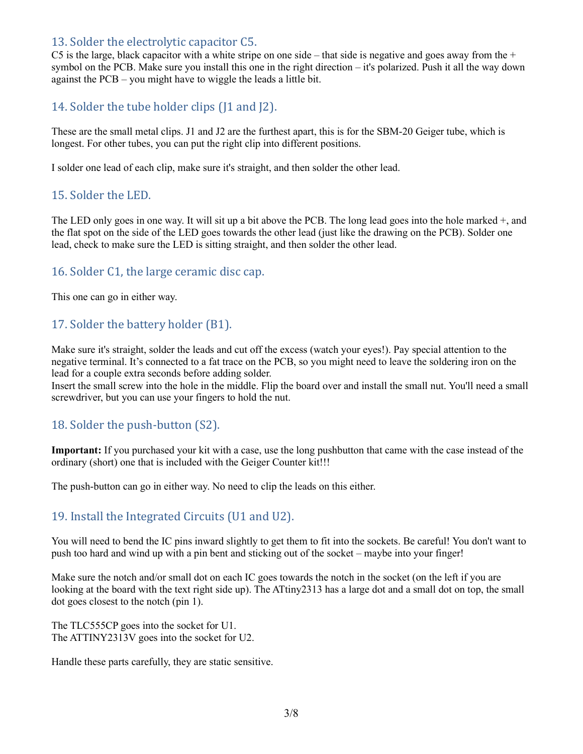## 13. Solder the electrolytic capacitor C5.

C5 is the large, black capacitor with a white stripe on one side – that side is negative and goes away from the  $+$ symbol on the PCB. Make sure you install this one in the right direction – it's polarized. Push it all the way down against the PCB – you might have to wiggle the leads a little bit.

## 14. Solder the tube holder clips (11 and  $[2]$ ).

These are the small metal clips. J1 and J2 are the furthest apart, this is for the SBM-20 Geiger tube, which is longest. For other tubes, you can put the right clip into different positions.

I solder one lead of each clip, make sure it's straight, and then solder the other lead.

### 15. Solder the LED.

The LED only goes in one way. It will sit up a bit above the PCB. The long lead goes into the hole marked +, and the flat spot on the side of the LED goes towards the other lead (just like the drawing on the PCB). Solder one lead, check to make sure the LED is sitting straight, and then solder the other lead.

## 16. Solder C1, the large ceramic disc cap.

This one can go in either way.

## 17. Solder the battery holder (B1).

Make sure it's straight, solder the leads and cut off the excess (watch your eyes!). Pay special attention to the negative terminal. It's connected to a fat trace on the PCB, so you might need to leave the soldering iron on the lead for a couple extra seconds before adding solder.

Insert the small screw into the hole in the middle. Flip the board over and install the small nut. You'll need a small screwdriver, but you can use your fingers to hold the nut.

### 18. Solder the push-button (S2).

**Important:** If you purchased your kit with a case, use the long pushbutton that came with the case instead of the ordinary (short) one that is included with the Geiger Counter kit!!!

The push-button can go in either way. No need to clip the leads on this either.

## 19. Install the Integrated Circuits (U1 and U2).

You will need to bend the IC pins inward slightly to get them to fit into the sockets. Be careful! You don't want to push too hard and wind up with a pin bent and sticking out of the socket – maybe into your finger!

Make sure the notch and/or small dot on each IC goes towards the notch in the socket (on the left if you are looking at the board with the text right side up). The ATtiny2313 has a large dot and a small dot on top, the small dot goes closest to the notch (pin 1).

The TLC555CP goes into the socket for U1. The ATTINY2313V goes into the socket for U2.

Handle these parts carefully, they are static sensitive.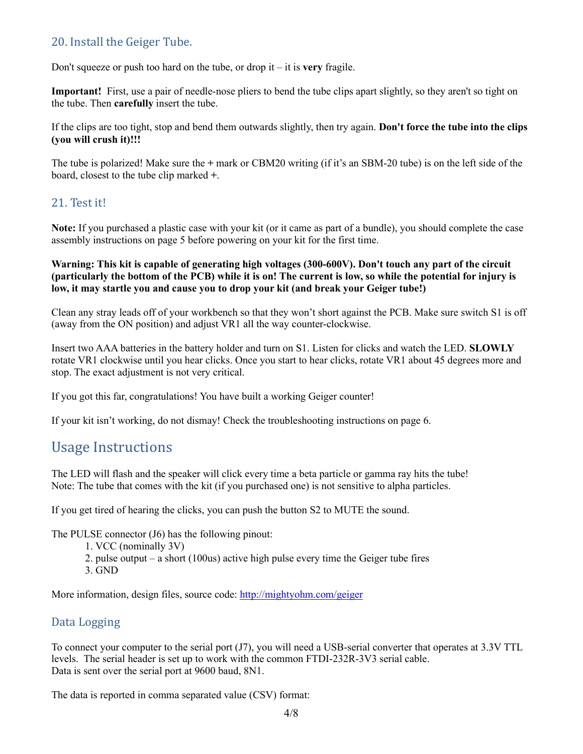## 20. Install the Geiger Tube.

Don't squeeze or push too hard on the tube, or drop it – it is **very** fragile.

**Important!** First, use a pair of needle-nose pliers to bend the tube clips apart slightly, so they aren't so tight on the tube. Then **carefully** insert the tube.

If the clips are too tight, stop and bend them outwards slightly, then try again. **Don't force the tube into the clips (you will crush it)!!!**

The tube is polarized! Make sure the **+** mark or CBM20 writing (if it's an SBM-20 tube) is on the left side of the board, closest to the tube clip marked **+**.

### 21. Test it!

**Note:** If you purchased a plastic case with your kit (or it came as part of a bundle), you should complete the case assembly instructions on page 5 before powering on your kit for the first time.

#### **Warning: This kit is capable of generating high voltages (300-600V). Don't touch any part of the circuit (particularly the bottom of the PCB) while it is on! The current is low, so while the potential for injury is low, it may startle you and cause you to drop your kit (and break your Geiger tube!)**

Clean any stray leads off of your workbench so that they won't short against the PCB. Make sure switch S1 is off (away from the ON position) and adjust VR1 all the way counter-clockwise.

Insert two AAA batteries in the battery holder and turn on S1. Listen for clicks and watch the LED. **SLOWLY** rotate VR1 clockwise until you hear clicks. Once you start to hear clicks, rotate VR1 about 45 degrees more and stop. The exact adjustment is not very critical.

If you got this far, congratulations! You have built a working Geiger counter!

If your kit isn't working, do not dismay! Check the troubleshooting instructions on page 6.

## Usage Instructions

The LED will flash and the speaker will click every time a beta particle or gamma ray hits the tube! Note: The tube that comes with the kit (if you purchased one) is not sensitive to alpha particles.

If you get tired of hearing the clicks, you can push the button S2 to MUTE the sound.

The PULSE connector (J6) has the following pinout:

- 1. VCC (nominally 3V)
- 2. pulse output a short (100us) active high pulse every time the Geiger tube fires
- 3. GND

More information, design files, source code: <http://mightyohm.com/geiger>

## Data Logging

To connect your computer to the serial port (J7), you will need a USB-serial converter that operates at 3.3V TTL levels. The serial header is set up to work with the common FTDI-232R-3V3 serial cable. Data is sent over the serial port at 9600 baud, 8N1.

The data is reported in comma separated value (CSV) format: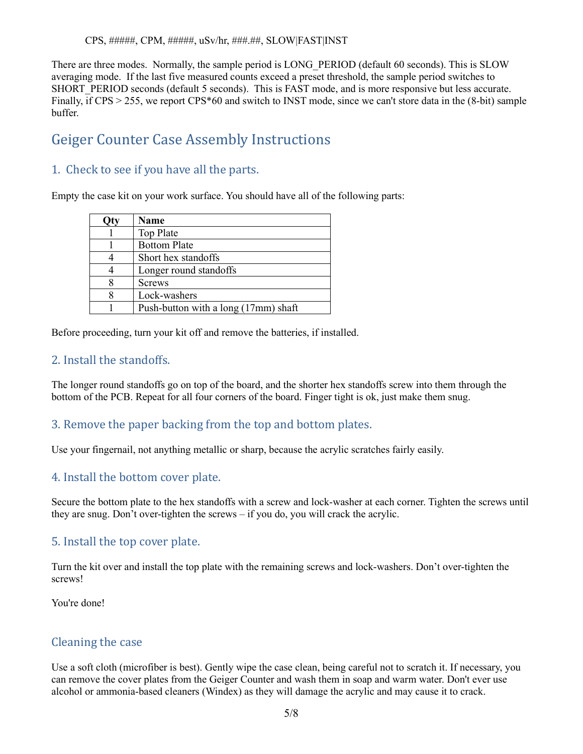There are three modes. Normally, the sample period is LONG\_PERIOD (default 60 seconds). This is SLOW averaging mode. If the last five measured counts exceed a preset threshold, the sample period switches to SHORT PERIOD seconds (default 5 seconds). This is FAST mode, and is more responsive but less accurate. Finally, if CPS > 255, we report CPS\*60 and switch to INST mode, since we can't store data in the (8-bit) sample buffer.

## Geiger Counter Case Assembly Instructions

## 1. Check to see if you have all the parts.

Empty the case kit on your work surface. You should have all of the following parts:

| Name                                 |
|--------------------------------------|
| Top Plate                            |
| <b>Bottom Plate</b>                  |
| Short hex standoffs                  |
| Longer round standoffs               |
| <b>Screws</b>                        |
| Lock-washers                         |
| Push-button with a long (17mm) shaft |

Before proceeding, turn your kit off and remove the batteries, if installed.

## 2. Install the standoffs.

The longer round standoffs go on top of the board, and the shorter hex standoffs screw into them through the bottom of the PCB. Repeat for all four corners of the board. Finger tight is ok, just make them snug.

## 3. Remove the paper backing from the top and bottom plates.

Use your fingernail, not anything metallic or sharp, because the acrylic scratches fairly easily.

## 4. Install the bottom cover plate.

Secure the bottom plate to the hex standoffs with a screw and lock-washer at each corner. Tighten the screws until they are snug. Don't over-tighten the screws – if you do, you will crack the acrylic.

### 5. Install the top cover plate.

Turn the kit over and install the top plate with the remaining screws and lock-washers. Don't over-tighten the screws!

You're done!

### Cleaning the case

Use a soft cloth (microfiber is best). Gently wipe the case clean, being careful not to scratch it. If necessary, you can remove the cover plates from the Geiger Counter and wash them in soap and warm water. Don't ever use alcohol or ammonia-based cleaners (Windex) as they will damage the acrylic and may cause it to crack.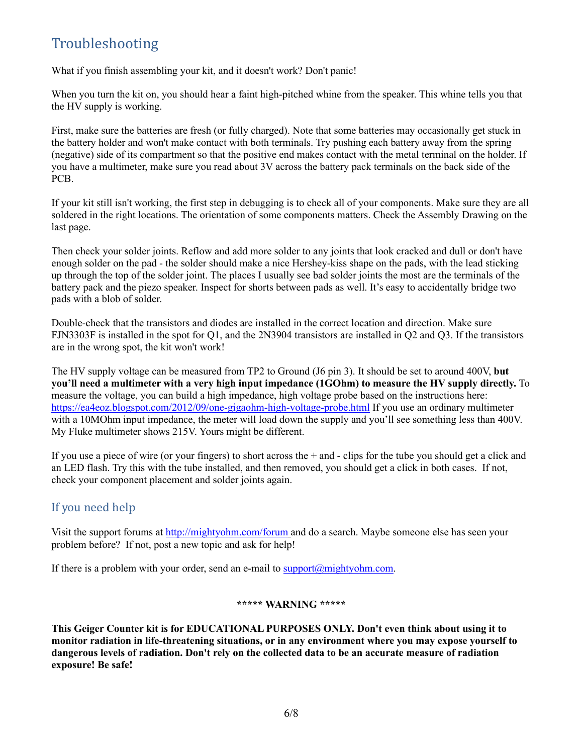# Troubleshooting

What if you finish assembling your kit, and it doesn't work? Don't panic!

When you turn the kit on, you should hear a faint high-pitched whine from the speaker. This whine tells you that the HV supply is working.

First, make sure the batteries are fresh (or fully charged). Note that some batteries may occasionally get stuck in the battery holder and won't make contact with both terminals. Try pushing each battery away from the spring (negative) side of its compartment so that the positive end makes contact with the metal terminal on the holder. If you have a multimeter, make sure you read about 3V across the battery pack terminals on the back side of the PCB.

If your kit still isn't working, the first step in debugging is to check all of your components. Make sure they are all soldered in the right locations. The orientation of some components matters. Check the Assembly Drawing on the last page.

Then check your solder joints. Reflow and add more solder to any joints that look cracked and dull or don't have enough solder on the pad - the solder should make a nice Hershey-kiss shape on the pads, with the lead sticking up through the top of the solder joint. The places I usually see bad solder joints the most are the terminals of the battery pack and the piezo speaker. Inspect for shorts between pads as well. It's easy to accidentally bridge two pads with a blob of solder.

Double-check that the transistors and diodes are installed in the correct location and direction. Make sure FJN3303F is installed in the spot for Q1, and the 2N3904 transistors are installed in Q2 and Q3. If the transistors are in the wrong spot, the kit won't work!

The HV supply voltage can be measured from TP2 to Ground (J6 pin 3). It should be set to around 400V, **but you'll need a multimeter with a very high input impedance (1GOhm) to measure the HV supply directly.** To measure the voltage, you can build a high impedance, high voltage probe based on the instructions here: <https://ea4eoz.blogspot.com/2012/09/one-gigaohm-high-voltage-probe.html> If you use an ordinary multimeter with a 10MOhm input impedance, the meter will load down the supply and you'll see something less than 400V. My Fluke multimeter shows 215V. Yours might be different.

If you use a piece of wire (or your fingers) to short across the + and - clips for the tube you should get a click and an LED flash. Try this with the tube installed, and then removed, you should get a click in both cases. If not, check your component placement and solder joints again.

## If you need help

Visit the support forums at<http://mightyohm.com/forum> and do a search. Maybe someone else has seen your problem before? If not, post a new topic and ask for help!

If there is a problem with your order, send an e-mail to support $(\partial m$  ightyohm.com.

#### **\*\*\*\*\* WARNING \*\*\*\*\***

**This Geiger Counter kit is for EDUCATIONAL PURPOSES ONLY. Don't even think about using it to monitor radiation in life-threatening situations, or in any environment where you may expose yourself to dangerous levels of radiation. Don't rely on the collected data to be an accurate measure of radiation exposure! Be safe!**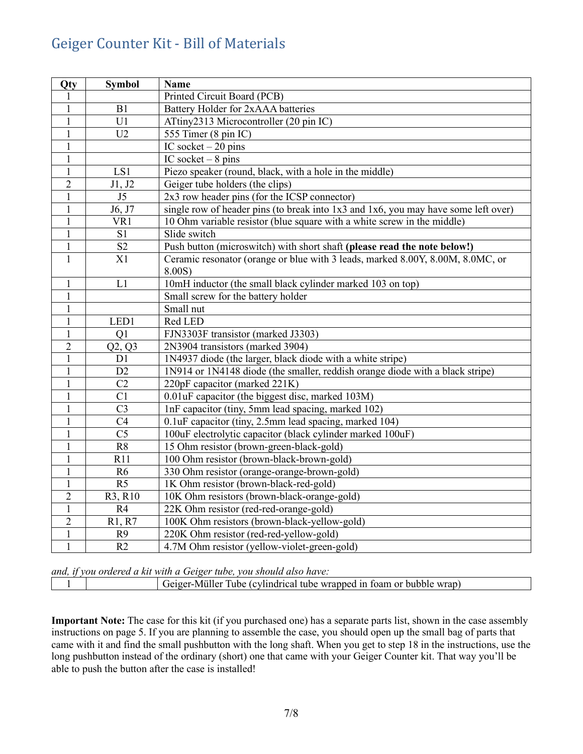# Geiger Counter Kit - Bill of Materials

| Qty            | <b>Symbol</b>          | <b>Name</b>                                                                        |
|----------------|------------------------|------------------------------------------------------------------------------------|
| 1              |                        | Printed Circuit Board (PCB)                                                        |
| $\mathbf{1}$   | B1                     | Battery Holder for 2xAAA batteries                                                 |
| 1              | U1                     | ATtiny2313 Microcontroller (20 pin IC)                                             |
| $\mathbf{1}$   | U2                     | 555 Timer (8 pin IC)                                                               |
| $\mathbf{1}$   |                        | IC socket $-20$ pins                                                               |
| $\mathbf{1}$   |                        | IC socket $-8$ pins                                                                |
| $\mathbf{1}$   | LS1                    | Piezo speaker (round, black, with a hole in the middle)                            |
| $\overline{2}$ | J1, J2                 | Geiger tube holders (the clips)                                                    |
| $\mathbf{1}$   | J <sub>5</sub>         | 2x3 row header pins (for the ICSP connector)                                       |
| $\mathbf{1}$   | J6, J7                 | single row of header pins (to break into 1x3 and 1x6, you may have some left over) |
| $\mathbf{1}$   | VR1                    | 10 Ohm variable resistor (blue square with a white screw in the middle)            |
| 1              | S <sub>1</sub>         | Slide switch                                                                       |
| 1              | $\overline{S2}$        | Push button (microswitch) with short shaft (please read the note below!)           |
| 1              | X1                     | Ceramic resonator (orange or blue with 3 leads, marked 8.00Y, 8.00M, 8.0MC, or     |
|                |                        | 8.00S                                                                              |
| $\mathbf{1}$   | L1                     | 10mH inductor (the small black cylinder marked 103 on top)                         |
| 1              |                        | Small screw for the battery holder                                                 |
| $\mathbf{1}$   |                        | Small nut                                                                          |
| 1              | LED1                   | Red LED                                                                            |
| 1              | Q1                     | FJN3303F transistor (marked J3303)                                                 |
| $\overline{2}$ | Q2, Q3                 | 2N3904 transistors (marked 3904)                                                   |
| $\mathbf{1}$   | D1                     | 1N4937 diode (the larger, black diode with a white stripe)                         |
| $\mathbf{1}$   | D2                     | 1N914 or 1N4148 diode (the smaller, reddish orange diode with a black stripe)      |
| $\mathbf{1}$   | C <sub>2</sub>         | 220pF capacitor (marked 221K)                                                      |
| $\mathbf{1}$   | C1                     | 0.01uF capacitor (the biggest disc, marked 103M)                                   |
| $\mathbf{1}$   | C <sub>3</sub>         | 1nF capacitor (tiny, 5mm lead spacing, marked 102)                                 |
| $\mathbf{1}$   | $\overline{C4}$        | 0.1uF capacitor (tiny, 2.5mm lead spacing, marked 104)                             |
| $\mathbf{1}$   | $\overline{\text{C5}}$ | 100uF electrolytic capacitor (black cylinder marked 100uF)                         |
| $\mathbf{1}$   | $\overline{R8}$        | 15 Ohm resistor (brown-green-black-gold)                                           |
| $\mathbf{1}$   | R11                    | 100 Ohm resistor (brown-black-brown-gold)                                          |
| $\mathbf{1}$   | R6                     | 330 Ohm resistor (orange-orange-brown-gold)                                        |
| $\mathbf{1}$   | R <sub>5</sub>         | 1K Ohm resistor (brown-black-red-gold)                                             |
| $\overline{2}$ | R3, R10                | 10K Ohm resistors (brown-black-orange-gold)                                        |
| $\mathbf{1}$   | R4                     | 22K Ohm resistor (red-red-orange-gold)                                             |
| $\overline{2}$ | R1, R7                 | 100K Ohm resistors (brown-black-yellow-gold)                                       |
| $\mathbf{1}$   | R <sub>9</sub>         | 220K Ohm resistor (red-red-yellow-gold)                                            |
| $\mathbf{1}$   | R2                     | 4.7M Ohm resistor (yellow-violet-green-gold)                                       |

*and, if you ordered a kit with a Geiger tube, you should also have:*

1 Geiger-Müller Tube (cylindrical tube wrapped in foam or bubble wrap)

**Important Note:** The case for this kit (if you purchased one) has a separate parts list, shown in the case assembly instructions on page 5. If you are planning to assemble the case, you should open up the small bag of parts that came with it and find the small pushbutton with the long shaft. When you get to step 18 in the instructions, use the long pushbutton instead of the ordinary (short) one that came with your Geiger Counter kit. That way you'll be able to push the button after the case is installed!